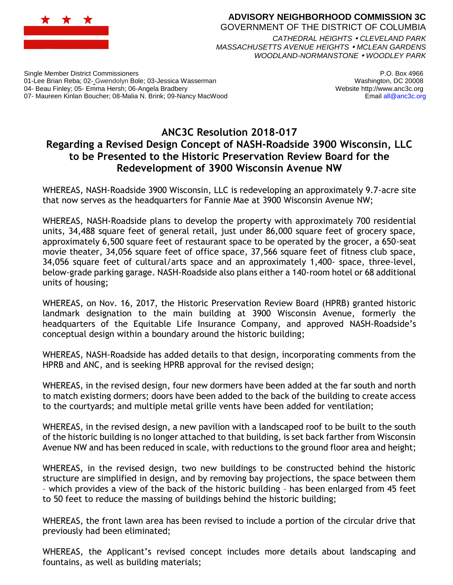

## **ADVISORY NEIGHBORHOOD COMMISSION 3C** GOVERNMENT OF THE DISTRICT OF COLUMBIA *CATHEDRAL HEIGHTS CLEVELAND PARK*

*MASSACHUSETTS AVENUE HEIGHTS MCLEAN GARDENS WOODLAND-NORMANSTONE WOODLEY PARK*

Single Member District Commissioners 01-Lee Brian Reba; 02- Gwendolyn Bole; 03-Jessica Wasserman 04- Beau Finley; 05- Emma Hersh; 06-Angela Bradbery 07- Maureen Kinlan Boucher; 08-Malia N. Brink; 09-Nancy MacWood

P.O. Box 4966 Washington, DC 20008 Website http://www.anc3c.org Email all@anc3c.org

## **ANC3C Resolution 2018-017 Regarding a Revised Design Concept of NASH-Roadside 3900 Wisconsin, LLC to be Presented to the Historic Preservation Review Board for the Redevelopment of 3900 Wisconsin Avenue NW**

WHEREAS, NASH-Roadside 3900 Wisconsin, LLC is redeveloping an approximately 9.7-acre site that now serves as the headquarters for Fannie Mae at 3900 Wisconsin Avenue NW;

WHEREAS, NASH-Roadside plans to develop the property with approximately 700 residential units, 34,488 square feet of general retail, just under 86,000 square feet of grocery space, approximately 6,500 square feet of restaurant space to be operated by the grocer, a 650-seat movie theater, 34,056 square feet of office space, 37,566 square feet of fitness club space, 34,056 square feet of cultural/arts space and an approximately 1,400- space, three-level, below-grade parking garage. NASH-Roadside also plans either a 140-room hotel or 68 additional units of housing;

WHEREAS, on Nov. 16, 2017, the Historic Preservation Review Board (HPRB) granted historic landmark designation to the main building at 3900 Wisconsin Avenue, formerly the headquarters of the Equitable Life Insurance Company, and approved NASH-Roadside's conceptual design within a boundary around the historic building;

WHEREAS, NASH-Roadside has added details to that design, incorporating comments from the HPRB and ANC, and is seeking HPRB approval for the revised design;

WHEREAS, in the revised design, four new dormers have been added at the far south and north to match existing dormers; doors have been added to the back of the building to create access to the courtyards; and multiple metal grille vents have been added for ventilation;

WHEREAS, in the revised design, a new pavilion with a landscaped roof to be built to the south of the historic building is no longer attached to that building, is set back farther from Wisconsin Avenue NW and has been reduced in scale, with reductions to the ground floor area and height;

WHEREAS, in the revised design, two new buildings to be constructed behind the historic structure are simplified in design, and by removing bay projections, the space between them – which provides a view of the back of the historic building – has been enlarged from 45 feet to 50 feet to reduce the massing of buildings behind the historic building;

WHEREAS, the front lawn area has been revised to include a portion of the circular drive that previously had been eliminated;

WHEREAS, the Applicant's revised concept includes more details about landscaping and fountains, as well as building materials;